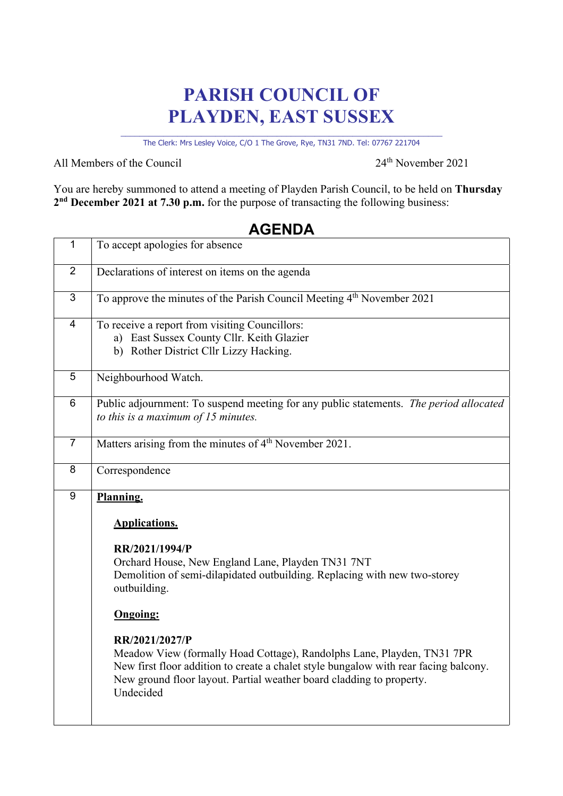## **PARISH COUNCIL OF PLAYDEN, EAST SUSSEX**

\_\_\_\_\_\_\_\_\_\_\_\_\_\_\_\_\_\_\_\_\_\_\_\_\_\_\_\_\_\_\_\_\_\_\_\_\_\_\_\_\_\_\_\_\_\_\_\_\_\_\_\_\_\_\_\_\_\_\_\_\_\_\_\_\_\_\_\_ The Clerk: Mrs Lesley Voice, C/O 1 The Grove, Rye, TN31 7ND. Tel: 07767 221704

All Members of the Council 24<sup>th</sup> November 2021

You are hereby summoned to attend a meeting of Playden Parish Council, to be held on **Thursday 2nd December 2021 at 7.30 p.m.** for the purpose of transacting the following business:

## 1 To accept apologies for absence 2 Declarations of interest on items on the agenda 3 To approve the minutes of the Parish Council Meeting 4<sup>th</sup> November 2021 4 To receive a report from visiting Councillors: a) East Sussex County Cllr. Keith Glazier b) Rother District Cllr Lizzy Hacking. 5 Neighbourhood Watch. 6 Public adjournment: To suspend meeting for any public statements. *The period allocated to this is a maximum of 15 minutes.* 7 Matters arising from the minutes of  $4<sup>th</sup>$  November 2021. 8 Correspondence 9 **Planning. Applications. RR/2021/1994/P** Orchard House, New England Lane, Playden TN31 7NT Demolition of semi-dilapidated outbuilding. Replacing with new two-storey outbuilding. **Ongoing: RR/2021/2027/P** Meadow View (formally Hoad Cottage), Randolphs Lane, Playden, TN31 7PR New first floor addition to create a chalet style bungalow with rear facing balcony. New ground floor layout. Partial weather board cladding to property. Undecided

## **AGENDA**